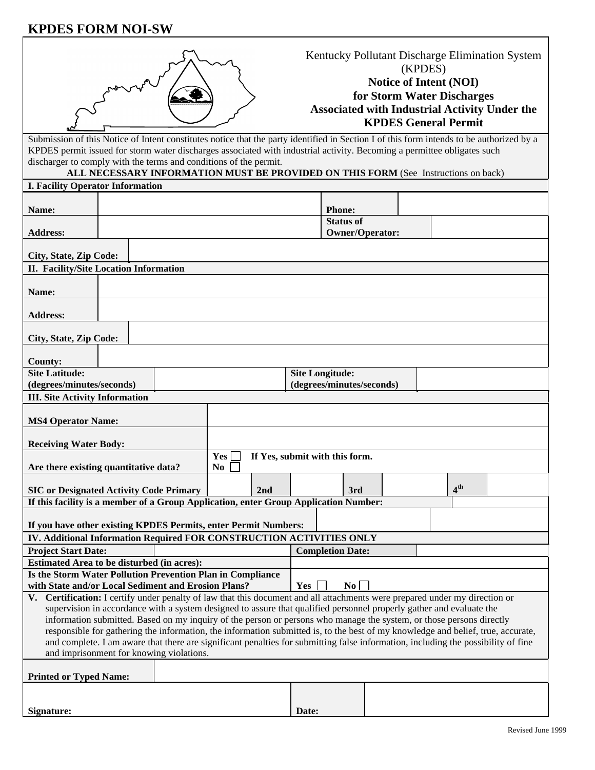# **KPDES FORM NOI-SW**

|                                                                                                                                                                                                                                                                       | Kentucky Pollutant Discharge Elimination System<br>(KPDES)<br>Notice of Intent (NOI)<br>for Storm Water Discharges<br><b>Associated with Industrial Activity Under the</b><br><b>KPDES General Permit</b><br>Submission of this Notice of Intent constitutes notice that the party identified in Section I of this form intends to be authorized by a |  |                |     |                           |                                            |           |  |  |                 |  |  |
|-----------------------------------------------------------------------------------------------------------------------------------------------------------------------------------------------------------------------------------------------------------------------|-------------------------------------------------------------------------------------------------------------------------------------------------------------------------------------------------------------------------------------------------------------------------------------------------------------------------------------------------------|--|----------------|-----|---------------------------|--------------------------------------------|-----------|--|--|-----------------|--|--|
| KPDES permit issued for storm water discharges associated with industrial activity. Becoming a permittee obligates such                                                                                                                                               |                                                                                                                                                                                                                                                                                                                                                       |  |                |     |                           |                                            |           |  |  |                 |  |  |
| discharger to comply with the terms and conditions of the permit.<br>ALL NECESSARY INFORMATION MUST BE PROVIDED ON THIS FORM (See Instructions on back)                                                                                                               |                                                                                                                                                                                                                                                                                                                                                       |  |                |     |                           |                                            |           |  |  |                 |  |  |
| <b>I. Facility Operator Information</b>                                                                                                                                                                                                                               |                                                                                                                                                                                                                                                                                                                                                       |  |                |     |                           |                                            |           |  |  |                 |  |  |
|                                                                                                                                                                                                                                                                       |                                                                                                                                                                                                                                                                                                                                                       |  |                |     |                           |                                            |           |  |  |                 |  |  |
| Name:                                                                                                                                                                                                                                                                 |                                                                                                                                                                                                                                                                                                                                                       |  |                |     |                           | <b>Phone:</b>                              |           |  |  |                 |  |  |
| <b>Address:</b>                                                                                                                                                                                                                                                       |                                                                                                                                                                                                                                                                                                                                                       |  |                |     |                           | <b>Status of</b><br><b>Owner/Operator:</b> |           |  |  |                 |  |  |
| City, State, Zip Code:                                                                                                                                                                                                                                                |                                                                                                                                                                                                                                                                                                                                                       |  |                |     |                           |                                            |           |  |  |                 |  |  |
| II. Facility/Site Location Information                                                                                                                                                                                                                                |                                                                                                                                                                                                                                                                                                                                                       |  |                |     |                           |                                            |           |  |  |                 |  |  |
|                                                                                                                                                                                                                                                                       |                                                                                                                                                                                                                                                                                                                                                       |  |                |     |                           |                                            |           |  |  |                 |  |  |
| Name:                                                                                                                                                                                                                                                                 |                                                                                                                                                                                                                                                                                                                                                       |  |                |     |                           |                                            |           |  |  |                 |  |  |
| <b>Address:</b>                                                                                                                                                                                                                                                       |                                                                                                                                                                                                                                                                                                                                                       |  |                |     |                           |                                            |           |  |  |                 |  |  |
|                                                                                                                                                                                                                                                                       |                                                                                                                                                                                                                                                                                                                                                       |  |                |     |                           |                                            |           |  |  |                 |  |  |
| City, State, Zip Code:                                                                                                                                                                                                                                                |                                                                                                                                                                                                                                                                                                                                                       |  |                |     |                           |                                            |           |  |  |                 |  |  |
|                                                                                                                                                                                                                                                                       |                                                                                                                                                                                                                                                                                                                                                       |  |                |     |                           |                                            |           |  |  |                 |  |  |
| <b>County:</b><br><b>Site Latitude:</b><br><b>Site Longitude:</b>                                                                                                                                                                                                     |                                                                                                                                                                                                                                                                                                                                                       |  |                |     |                           |                                            |           |  |  |                 |  |  |
| (degrees/minutes/seconds)                                                                                                                                                                                                                                             |                                                                                                                                                                                                                                                                                                                                                       |  |                |     | (degrees/minutes/seconds) |                                            |           |  |  |                 |  |  |
| <b>III. Site Activity Information</b>                                                                                                                                                                                                                                 |                                                                                                                                                                                                                                                                                                                                                       |  |                |     |                           |                                            |           |  |  |                 |  |  |
| <b>MS4 Operator Name:</b>                                                                                                                                                                                                                                             |                                                                                                                                                                                                                                                                                                                                                       |  |                |     |                           |                                            |           |  |  |                 |  |  |
| <b>Receiving Water Body:</b>                                                                                                                                                                                                                                          |                                                                                                                                                                                                                                                                                                                                                       |  |                |     |                           |                                            |           |  |  |                 |  |  |
|                                                                                                                                                                                                                                                                       | Yes<br>If Yes, submit with this form.                                                                                                                                                                                                                                                                                                                 |  |                |     |                           |                                            |           |  |  |                 |  |  |
| Are there existing quantitative data?                                                                                                                                                                                                                                 |                                                                                                                                                                                                                                                                                                                                                       |  | N <sub>0</sub> |     |                           |                                            |           |  |  |                 |  |  |
| <b>SIC or Designated Activity Code Primary</b>                                                                                                                                                                                                                        |                                                                                                                                                                                                                                                                                                                                                       |  |                | 2nd |                           |                                            | 3rd       |  |  | 4 <sup>th</sup> |  |  |
| If this facility is a member of a Group Application, enter Group Application Number:                                                                                                                                                                                  |                                                                                                                                                                                                                                                                                                                                                       |  |                |     |                           |                                            |           |  |  |                 |  |  |
|                                                                                                                                                                                                                                                                       |                                                                                                                                                                                                                                                                                                                                                       |  |                |     |                           |                                            |           |  |  |                 |  |  |
| If you have other existing KPDES Permits, enter Permit Numbers:                                                                                                                                                                                                       |                                                                                                                                                                                                                                                                                                                                                       |  |                |     |                           |                                            |           |  |  |                 |  |  |
| IV. Additional Information Required FOR CONSTRUCTION ACTIVITIES ONLY                                                                                                                                                                                                  |                                                                                                                                                                                                                                                                                                                                                       |  |                |     |                           |                                            |           |  |  |                 |  |  |
| <b>Project Start Date:</b>                                                                                                                                                                                                                                            |                                                                                                                                                                                                                                                                                                                                                       |  |                |     |                           | <b>Completion Date:</b>                    |           |  |  |                 |  |  |
| Estimated Area to be disturbed (in acres):<br>Is the Storm Water Pollution Prevention Plan in Compliance                                                                                                                                                              |                                                                                                                                                                                                                                                                                                                                                       |  |                |     |                           |                                            |           |  |  |                 |  |  |
| with State and/or Local Sediment and Erosion Plans?<br>Yes                                                                                                                                                                                                            |                                                                                                                                                                                                                                                                                                                                                       |  |                |     |                           |                                            | $\bf{No}$ |  |  |                 |  |  |
| V. Certification: I certify under penalty of law that this document and all attachments were prepared under my direction or                                                                                                                                           |                                                                                                                                                                                                                                                                                                                                                       |  |                |     |                           |                                            |           |  |  |                 |  |  |
| supervision in accordance with a system designed to assure that qualified personnel properly gather and evaluate the                                                                                                                                                  |                                                                                                                                                                                                                                                                                                                                                       |  |                |     |                           |                                            |           |  |  |                 |  |  |
| information submitted. Based on my inquiry of the person or persons who manage the system, or those persons directly                                                                                                                                                  |                                                                                                                                                                                                                                                                                                                                                       |  |                |     |                           |                                            |           |  |  |                 |  |  |
| responsible for gathering the information, the information submitted is, to the best of my knowledge and belief, true, accurate,<br>and complete. I am aware that there are significant penalties for submitting false information, including the possibility of fine |                                                                                                                                                                                                                                                                                                                                                       |  |                |     |                           |                                            |           |  |  |                 |  |  |
| and imprisonment for knowing violations.                                                                                                                                                                                                                              |                                                                                                                                                                                                                                                                                                                                                       |  |                |     |                           |                                            |           |  |  |                 |  |  |
|                                                                                                                                                                                                                                                                       |                                                                                                                                                                                                                                                                                                                                                       |  |                |     |                           |                                            |           |  |  |                 |  |  |
| <b>Printed or Typed Name:</b>                                                                                                                                                                                                                                         |                                                                                                                                                                                                                                                                                                                                                       |  |                |     |                           |                                            |           |  |  |                 |  |  |
|                                                                                                                                                                                                                                                                       |                                                                                                                                                                                                                                                                                                                                                       |  |                |     |                           |                                            |           |  |  |                 |  |  |
| Signature:                                                                                                                                                                                                                                                            |                                                                                                                                                                                                                                                                                                                                                       |  |                |     | Date:                     |                                            |           |  |  |                 |  |  |